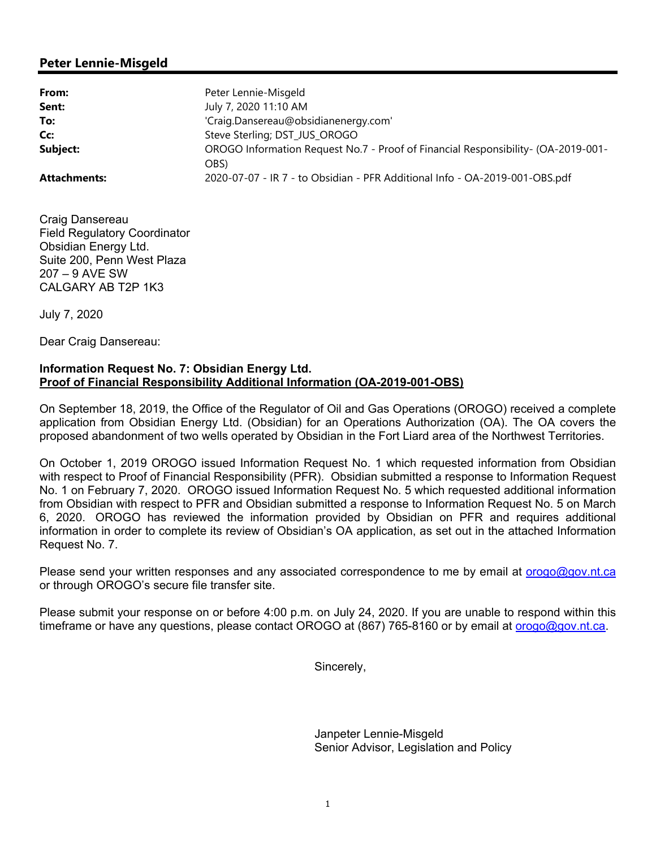### **Peter Lennie-Misgeld**

| From:               | Peter Lennie-Misgeld                                                              |
|---------------------|-----------------------------------------------------------------------------------|
| Sent:               | July 7, 2020 11:10 AM                                                             |
| To:                 | 'Craig.Dansereau@obsidianenergy.com'                                              |
| Cc:                 | Steve Sterling; DST_JUS_OROGO                                                     |
| Subject:            | OROGO Information Request No.7 - Proof of Financial Responsibility- (OA-2019-001- |
|                     | OBS)                                                                              |
| <b>Attachments:</b> | 2020-07-07 - IR 7 - to Obsidian - PFR Additional Info - OA-2019-001-OBS.pdf       |

Craig Dansereau Field Regulatory Coordinator Obsidian Energy Ltd. Suite 200, Penn West Plaza 207 – 9 AVE SW CALGARY AB T2P 1K3

July 7, 2020

Dear Craig Dansereau:

#### **Information Request No. 7: Obsidian Energy Ltd. Proof of Financial Responsibility Additional Information (OA-2019-001-OBS)**

On September 18, 2019, the Office of the Regulator of Oil and Gas Operations (OROGO) received a complete application from Obsidian Energy Ltd. (Obsidian) for an Operations Authorization (OA). The OA covers the proposed abandonment of two wells operated by Obsidian in the Fort Liard area of the Northwest Territories.

On October 1, 2019 OROGO issued Information Request No. 1 which requested information from Obsidian with respect to Proof of Financial Responsibility (PFR). Obsidian submitted a response to Information Request No. 1 on February 7, 2020. OROGO issued Information Request No. 5 which requested additional information from Obsidian with respect to PFR and Obsidian submitted a response to Information Request No. 5 on March 6, 2020. OROGO has reviewed the information provided by Obsidian on PFR and requires additional information in order to complete its review of Obsidian's OA application, as set out in the attached Information Request No. 7.

Please send your written responses and any associated correspondence to me by email at orogo@gov.nt.ca or through OROGO's secure file transfer site.

Please submit your response on or before 4:00 p.m. on July 24, 2020. If you are unable to respond within this timeframe or have any questions, please contact OROGO at (867) 765-8160 or by email at orogo@gov.nt.ca.

Sincerely,

 Janpeter Lennie-Misgeld Senior Advisor, Legislation and Policy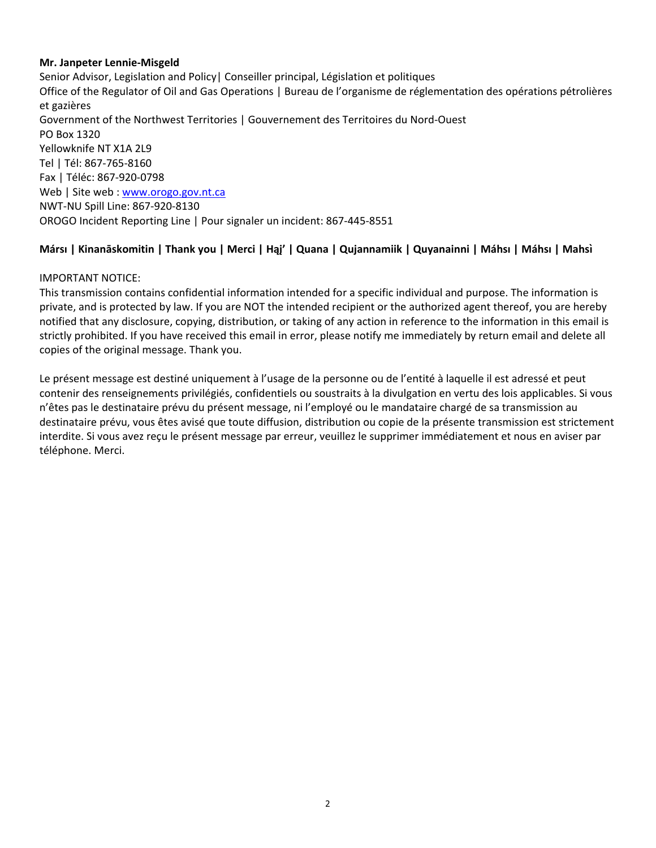#### **Mr. Janpeter Lennie‐Misgeld**

Senior Advisor, Legislation and Policy| Conseiller principal, Législation et politiques Office of the Regulator of Oil and Gas Operations | Bureau de l'organisme de réglementation des opérations pétrolières et gazières Government of the Northwest Territories | Gouvernement des Territoires du Nord‐Ouest PO Box 1320 Yellowknife NT X1A 2L9 Tel | Tél: 867‐765‐8160 Fax | Téléc: 867‐920‐0798 Web | Site web : www.orogo.gov.nt.ca NWT‐NU Spill Line: 867‐920‐8130 OROGO Incident Reporting Line | Pour signaler un incident: 867‐445‐8551

### **Mársı | Kinanāskomitin | Thank you | Merci | Hąį' | Quana | Qujannamiik | Quyanainni | Máhsı | Máhsı | Mahsı̀**

#### IMPORTANT NOTICE:

This transmission contains confidential information intended for a specific individual and purpose. The information is private, and is protected by law. If you are NOT the intended recipient or the authorized agent thereof, you are hereby notified that any disclosure, copying, distribution, or taking of any action in reference to the information in this email is strictly prohibited. If you have received this email in error, please notify me immediately by return email and delete all copies of the original message. Thank you.

Le présent message est destiné uniquement à l'usage de la personne ou de l'entité à laquelle il est adressé et peut contenir des renseignements privilégiés, confidentiels ou soustraits à la divulgation en vertu des lois applicables. Si vous n'êtes pas le destinataire prévu du présent message, ni l'employé ou le mandataire chargé de sa transmission au destinataire prévu, vous êtes avisé que toute diffusion, distribution ou copie de la présente transmission est strictement interdite. Si vous avez reçu le présent message par erreur, veuillez le supprimer immédiatement et nous en aviser par téléphone. Merci.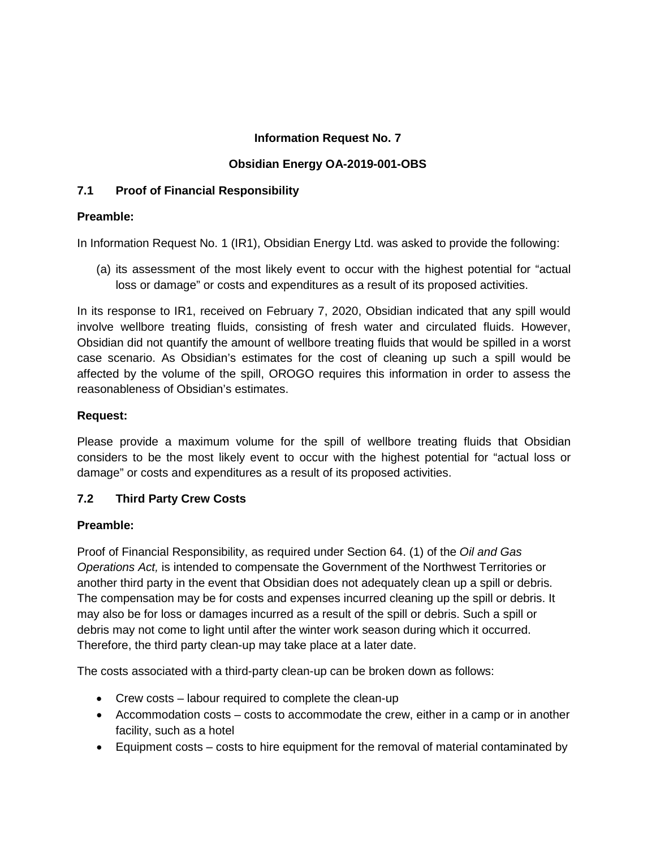## **Information Request No. 7**

# **Obsidian Energy OA-2019-001-OBS**

## **7.1 Proof of Financial Responsibility**

## **Preamble:**

In Information Request No. 1 (IR1), Obsidian Energy Ltd. was asked to provide the following:

(a) its assessment of the most likely event to occur with the highest potential for "actual loss or damage" or costs and expenditures as a result of its proposed activities.

In its response to IR1, received on February 7, 2020, Obsidian indicated that any spill would involve wellbore treating fluids, consisting of fresh water and circulated fluids. However, Obsidian did not quantify the amount of wellbore treating fluids that would be spilled in a worst case scenario. As Obsidian's estimates for the cost of cleaning up such a spill would be affected by the volume of the spill, OROGO requires this information in order to assess the reasonableness of Obsidian's estimates.

# **Request:**

Please provide a maximum volume for the spill of wellbore treating fluids that Obsidian considers to be the most likely event to occur with the highest potential for "actual loss or damage" or costs and expenditures as a result of its proposed activities.

# **7.2 Third Party Crew Costs**

# **Preamble:**

Proof of Financial Responsibility, as required under Section 64. (1) of the *Oil and Gas Operations Act,* is intended to compensate the Government of the Northwest Territories or another third party in the event that Obsidian does not adequately clean up a spill or debris. The compensation may be for costs and expenses incurred cleaning up the spill or debris. It may also be for loss or damages incurred as a result of the spill or debris. Such a spill or debris may not come to light until after the winter work season during which it occurred. Therefore, the third party clean-up may take place at a later date.

The costs associated with a third-party clean-up can be broken down as follows:

- Crew costs labour required to complete the clean-up
- Accommodation costs costs to accommodate the crew, either in a camp or in another facility, such as a hotel
- Equipment costs costs to hire equipment for the removal of material contaminated by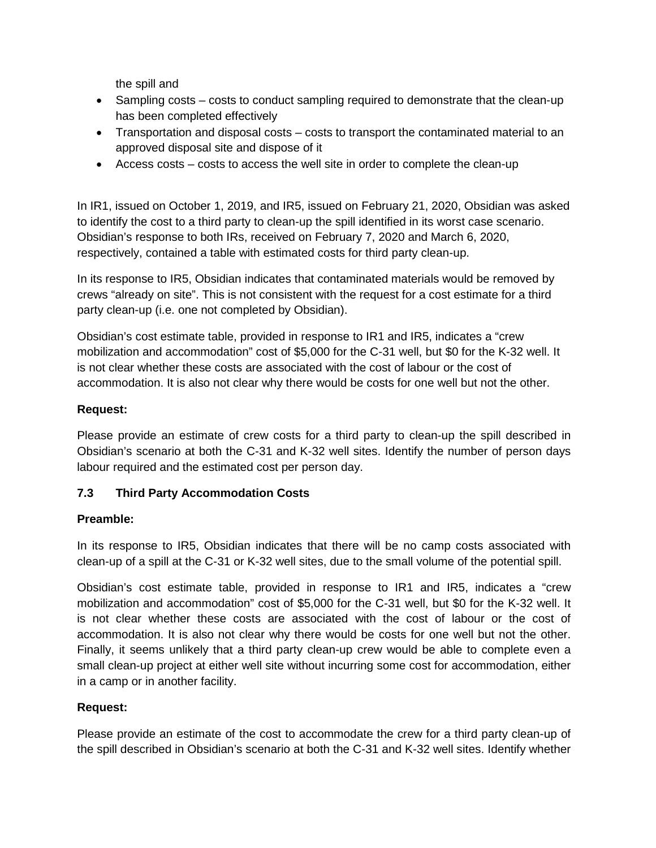the spill and

- Sampling costs costs to conduct sampling required to demonstrate that the clean-up has been completed effectively
- Transportation and disposal costs costs to transport the contaminated material to an approved disposal site and dispose of it
- Access costs costs to access the well site in order to complete the clean-up

In IR1, issued on October 1, 2019, and IR5, issued on February 21, 2020, Obsidian was asked to identify the cost to a third party to clean-up the spill identified in its worst case scenario. Obsidian's response to both IRs, received on February 7, 2020 and March 6, 2020, respectively, contained a table with estimated costs for third party clean-up.

In its response to IR5, Obsidian indicates that contaminated materials would be removed by crews "already on site". This is not consistent with the request for a cost estimate for a third party clean-up (i.e. one not completed by Obsidian).

Obsidian's cost estimate table, provided in response to IR1 and IR5, indicates a "crew mobilization and accommodation" cost of \$5,000 for the C-31 well, but \$0 for the K-32 well. It is not clear whether these costs are associated with the cost of labour or the cost of accommodation. It is also not clear why there would be costs for one well but not the other.

## **Request:**

Please provide an estimate of crew costs for a third party to clean-up the spill described in Obsidian's scenario at both the C-31 and K-32 well sites. Identify the number of person days labour required and the estimated cost per person day.

## **7.3 Third Party Accommodation Costs**

## **Preamble:**

In its response to IR5, Obsidian indicates that there will be no camp costs associated with clean-up of a spill at the C-31 or K-32 well sites, due to the small volume of the potential spill.

Obsidian's cost estimate table, provided in response to IR1 and IR5, indicates a "crew mobilization and accommodation" cost of \$5,000 for the C-31 well, but \$0 for the K-32 well. It is not clear whether these costs are associated with the cost of labour or the cost of accommodation. It is also not clear why there would be costs for one well but not the other. Finally, it seems unlikely that a third party clean-up crew would be able to complete even a small clean-up project at either well site without incurring some cost for accommodation, either in a camp or in another facility.

#### **Request:**

Please provide an estimate of the cost to accommodate the crew for a third party clean-up of the spill described in Obsidian's scenario at both the C-31 and K-32 well sites. Identify whether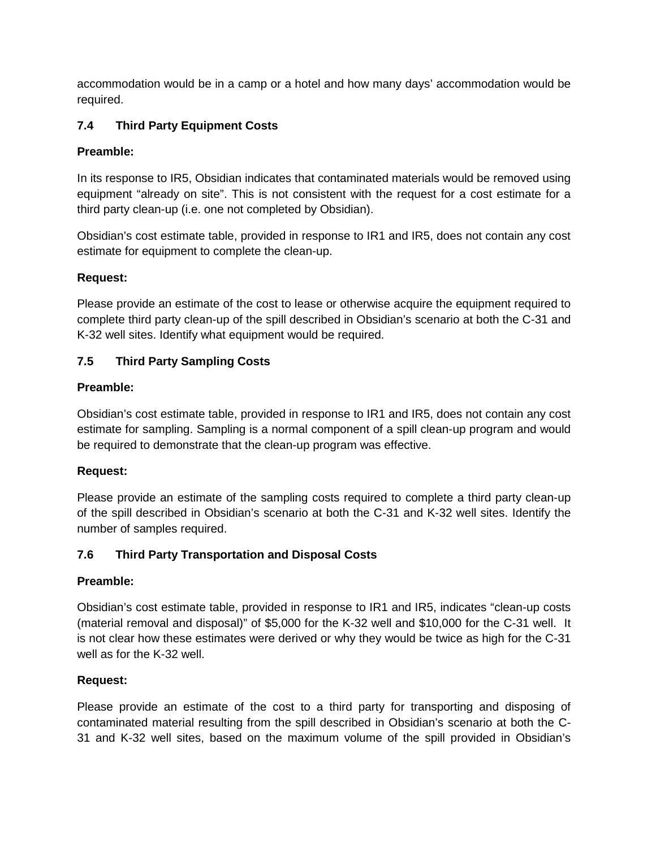accommodation would be in a camp or a hotel and how many days' accommodation would be required.

# **7.4 Third Party Equipment Costs**

# **Preamble:**

In its response to IR5, Obsidian indicates that contaminated materials would be removed using equipment "already on site". This is not consistent with the request for a cost estimate for a third party clean-up (i.e. one not completed by Obsidian).

Obsidian's cost estimate table, provided in response to IR1 and IR5, does not contain any cost estimate for equipment to complete the clean-up.

# **Request:**

Please provide an estimate of the cost to lease or otherwise acquire the equipment required to complete third party clean-up of the spill described in Obsidian's scenario at both the C-31 and K-32 well sites. Identify what equipment would be required.

# **7.5 Third Party Sampling Costs**

# **Preamble:**

Obsidian's cost estimate table, provided in response to IR1 and IR5, does not contain any cost estimate for sampling. Sampling is a normal component of a spill clean-up program and would be required to demonstrate that the clean-up program was effective.

## **Request:**

Please provide an estimate of the sampling costs required to complete a third party clean-up of the spill described in Obsidian's scenario at both the C-31 and K-32 well sites. Identify the number of samples required.

# **7.6 Third Party Transportation and Disposal Costs**

# **Preamble:**

Obsidian's cost estimate table, provided in response to IR1 and IR5, indicates "clean-up costs (material removal and disposal)" of \$5,000 for the K-32 well and \$10,000 for the C-31 well. It is not clear how these estimates were derived or why they would be twice as high for the C-31 well as for the K-32 well.

# **Request:**

Please provide an estimate of the cost to a third party for transporting and disposing of contaminated material resulting from the spill described in Obsidian's scenario at both the C-31 and K-32 well sites, based on the maximum volume of the spill provided in Obsidian's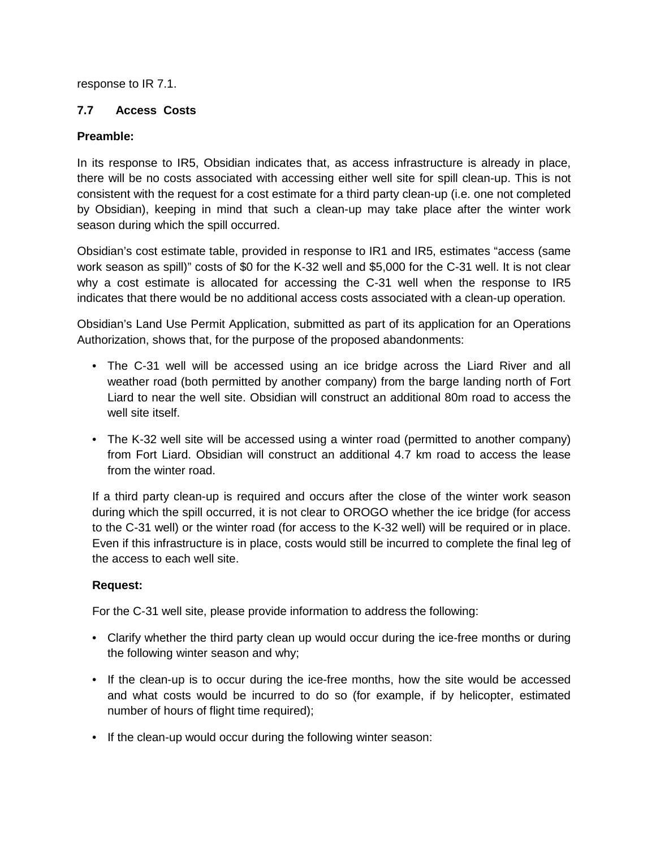response to IR 7.1.

### **7.7 Access Costs**

### **Preamble:**

In its response to IR5, Obsidian indicates that, as access infrastructure is already in place, there will be no costs associated with accessing either well site for spill clean-up. This is not consistent with the request for a cost estimate for a third party clean-up (i.e. one not completed by Obsidian), keeping in mind that such a clean-up may take place after the winter work season during which the spill occurred.

Obsidian's cost estimate table, provided in response to IR1 and IR5, estimates "access (same work season as spill)" costs of \$0 for the K-32 well and \$5,000 for the C-31 well. It is not clear why a cost estimate is allocated for accessing the C-31 well when the response to IR5 indicates that there would be no additional access costs associated with a clean-up operation.

Obsidian's Land Use Permit Application, submitted as part of its application for an Operations Authorization, shows that, for the purpose of the proposed abandonments:

- The C-31 well will be accessed using an ice bridge across the Liard River and all weather road (both permitted by another company) from the barge landing north of Fort Liard to near the well site. Obsidian will construct an additional 80m road to access the well site itself.
- The K-32 well site will be accessed using a winter road (permitted to another company) from Fort Liard. Obsidian will construct an additional 4.7 km road to access the lease from the winter road.

If a third party clean-up is required and occurs after the close of the winter work season during which the spill occurred, it is not clear to OROGO whether the ice bridge (for access to the C-31 well) or the winter road (for access to the K-32 well) will be required or in place. Even if this infrastructure is in place, costs would still be incurred to complete the final leg of the access to each well site.

## **Request:**

For the C-31 well site, please provide information to address the following:

- Clarify whether the third party clean up would occur during the ice-free months or during the following winter season and why;
- If the clean-up is to occur during the ice-free months, how the site would be accessed and what costs would be incurred to do so (for example, if by helicopter, estimated number of hours of flight time required);
- If the clean-up would occur during the following winter season: